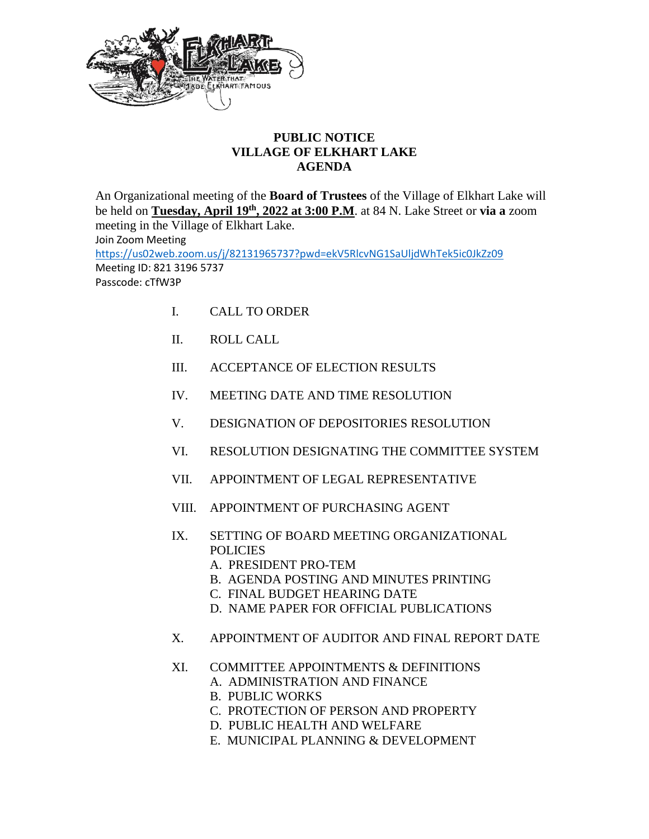

## **PUBLIC NOTICE VILLAGE OF ELKHART LAKE AGENDA**

An Organizational meeting of the **Board of Trustees** of the Village of Elkhart Lake will be held on **Tuesday, April 19th, 2022 at 3:00 P.M**. at 84 N. Lake Street or **via a** zoom meeting in the Village of Elkhart Lake. Join Zoom Meeting <https://us02web.zoom.us/j/82131965737?pwd=ekV5RlcvNG1SaUljdWhTek5ic0JkZz09> Meeting ID: 821 3196 5737 Passcode: cTfW3P

- I. CALL TO ORDER
- II. ROLL CALL
- III. ACCEPTANCE OF ELECTION RESULTS
- IV. MEETING DATE AND TIME RESOLUTION
- V. DESIGNATION OF DEPOSITORIES RESOLUTION
- VI. RESOLUTION DESIGNATING THE COMMITTEE SYSTEM
- VII. APPOINTMENT OF LEGAL REPRESENTATIVE
- VIII. APPOINTMENT OF PURCHASING AGENT
- IX. SETTING OF BOARD MEETING ORGANIZATIONAL POLICIES
	- A. PRESIDENT PRO-TEM
	- B. AGENDA POSTING AND MINUTES PRINTING
	- C. FINAL BUDGET HEARING DATE
	- D. NAME PAPER FOR OFFICIAL PUBLICATIONS
- X. APPOINTMENT OF AUDITOR AND FINAL REPORT DATE
- XI. COMMITTEE APPOINTMENTS & DEFINITIONS
	- A. ADMINISTRATION AND FINANCE
	- B. PUBLIC WORKS
	- C. PROTECTION OF PERSON AND PROPERTY
	- D. PUBLIC HEALTH AND WELFARE
	- E. MUNICIPAL PLANNING & DEVELOPMENT